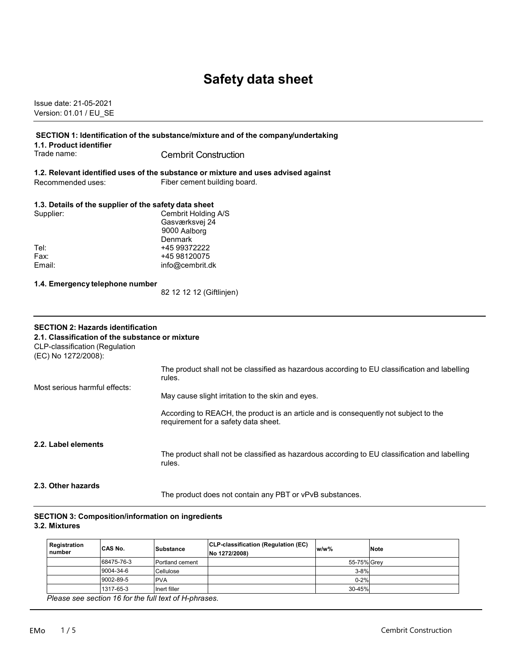# **Safety data sheet**

Issue date: 21-05-2021 Version: 01.01 / EU\_SE

| 1.1. Product identifier                                                                                                                                     | SECTION 1: Identification of the substance/mixture and of the company/undertaking                                            |  |  |
|-------------------------------------------------------------------------------------------------------------------------------------------------------------|------------------------------------------------------------------------------------------------------------------------------|--|--|
| Trade name:                                                                                                                                                 | <b>Cembrit Construction</b>                                                                                                  |  |  |
|                                                                                                                                                             | 1.2. Relevant identified uses of the substance or mixture and uses advised against                                           |  |  |
| Recommended uses:                                                                                                                                           | Fiber cement building board.                                                                                                 |  |  |
| 1.3. Details of the supplier of the safety data sheet                                                                                                       |                                                                                                                              |  |  |
| Supplier:                                                                                                                                                   | Cembrit Holding A/S<br>Gasværksvej 24<br>9000 Aalborg<br><b>Denmark</b>                                                      |  |  |
| Tel:                                                                                                                                                        | +45 99372222                                                                                                                 |  |  |
| Fax:                                                                                                                                                        | +45 98120075                                                                                                                 |  |  |
| Email:                                                                                                                                                      | info@cembrit.dk                                                                                                              |  |  |
| 1.4. Emergency telephone number                                                                                                                             |                                                                                                                              |  |  |
|                                                                                                                                                             | 82 12 12 12 (Giftlinjen)                                                                                                     |  |  |
| <b>SECTION 2: Hazards identification</b><br>2.1. Classification of the substance or mixture<br><b>CLP-classification (Regulation</b><br>(EC) No 1272/2008): |                                                                                                                              |  |  |
| Most serious harmful effects:                                                                                                                               | The product shall not be classified as hazardous according to EU classification and labelling<br>rules.                      |  |  |
|                                                                                                                                                             | May cause slight irritation to the skin and eyes.                                                                            |  |  |
|                                                                                                                                                             | According to REACH, the product is an article and is consequently not subject to the<br>requirement for a safety data sheet. |  |  |
| 2.2. Label elements                                                                                                                                         | The product shall not be classified as hazardous according to EU classification and labelling<br>rules.                      |  |  |
| 2.3. Other hazards                                                                                                                                          | The product does not contain any PBT or vPvB substances.                                                                     |  |  |

#### **SECTION 3: Composition/information on ingredients 3.2. Mixtures**

| Registration<br>number                               | CAS No.    | Substance       | CLP-classification (Regulation (EC)<br>No 1272/2008) | $w/w$ %     | <b>Note</b> |
|------------------------------------------------------|------------|-----------------|------------------------------------------------------|-------------|-------------|
|                                                      | 68475-76-3 | Portland cement |                                                      | 55-75% Grev |             |
|                                                      | 9004-34-6  | Cellulose       |                                                      | $3 - 8%$    |             |
|                                                      | 9002-89-5  | <b>PVA</b>      |                                                      | $0 - 2%$    |             |
|                                                      | 1317-65-3  | Inert filler    |                                                      | 30-45%      |             |
| Places see section 16 for the full text of Historean |            |                 |                                                      |             |             |

 *Please see section 16 for the full text of H-phrases.*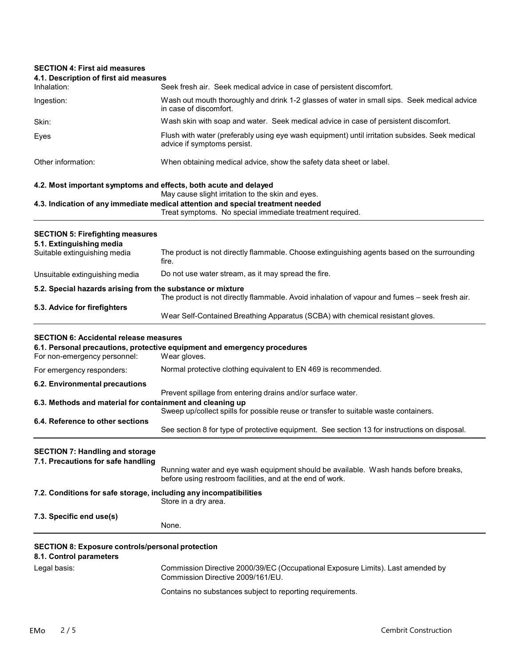# **SECTION 4: First aid measures 4.1. Description of first aid measures** Inhalation: Seek fresh air. Seek medical advice in case of persistent discomfort. Ingestion: Wash out mouth thoroughly and drink 1-2 glasses of water in small sips. Seek medical advice in case of discomfort. Skin: Wash skin with soap and water. Seek medical advice in case of persistent discomfort. Eyes Flush with water (preferably using eye wash equipment) until irritation subsides. Seek medical advice if symptoms persist. Other information: When obtaining medical advice, show the safety data sheet or label. **4.2. Most important symptoms and effects, both acute and delayed** May cause slight irritation to the skin and eyes. **4.3. Indication of any immediate medical attention and special treatment needed** Treat symptoms. No special immediate treatment required. **SECTION 5: Firefighting measures 5.1. Extinguishing media** The product is not directly flammable. Choose extinguishing agents based on the surrounding fire. Unsuitable extinguishing media Do not use water stream, as it may spread the fire. **5.2. Special hazards arising from the substance or mixture** The product is not directly flammable. Avoid inhalation of vapour and fumes – seek fresh air. **5.3. Advice for firefighters** Wear Self-Contained Breathing Apparatus (SCBA) with chemical resistant gloves. **SECTION 6: Accidental release measures 6.1. Personal precautions, protective equipment and emergency procedures** For non-emergency personnel: For emergency responders: Normal protective clothing equivalent to EN 469 is recommended. **6.2. Environmental precautions** Prevent spillage from entering drains and/or surface water. **6.3. Methods and material for containment and cleaning up** Sweep up/collect spills for possible reuse or transfer to suitable waste containers. **6.4. Reference to other sections** See section 8 for type of protective equipment. See section 13 for instructions on disposal. **SECTION 7: Handling and storage 7.1. Precautions for safe handling** Running water and eye wash equipment should be available. Wash hands before breaks, before using restroom facilities, and at the end of work. **7.2. Conditions for safe storage, including any incompatibilities** Store in a dry area. **7.3. Specific end use(s)** None. **SECTION 8: Exposure controls/personal protection 8.1. Control parameters** Legal basis: Commission Directive 2000/39/EC (Occupational Exposure Limits). Last amended by Commission Directive 2009/161/EU. Contains no substances subject to reporting requirements.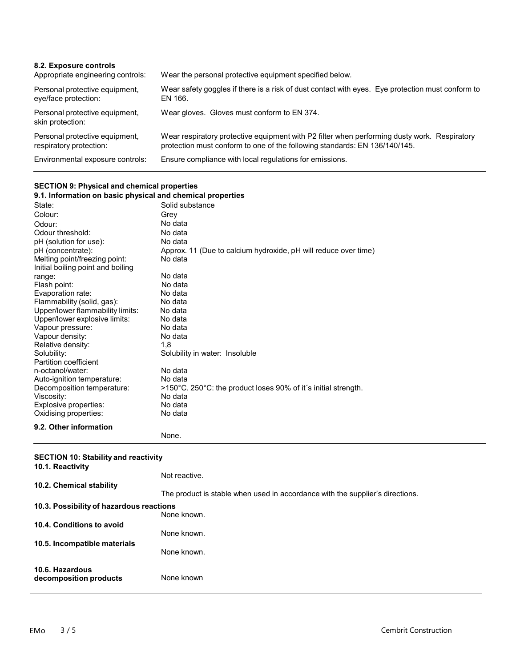| 8.2. Exposure controls<br>Appropriate engineering controls: | Wear the personal protective equipment specified below.                                                                                                                    |
|-------------------------------------------------------------|----------------------------------------------------------------------------------------------------------------------------------------------------------------------------|
| Personal protective equipment,<br>eye/face protection:      | Wear safety goggles if there is a risk of dust contact with eyes. Eye protection must conform to<br>EN 166.                                                                |
| Personal protective equipment,<br>skin protection:          | Wear gloves. Gloves must conform to EN 374.                                                                                                                                |
| Personal protective equipment,<br>respiratory protection:   | Wear respiratory protective equipment with P2 filter when performing dusty work. Respiratory<br>protection must conform to one of the following standards: EN 136/140/145. |
| Environmental exposure controls:                            | Ensure compliance with local regulations for emissions.                                                                                                                    |

### **SECTION 9: Physical and chemical properties**

| 9.1. Information on basic physical and chemical properties |                                                                 |  |
|------------------------------------------------------------|-----------------------------------------------------------------|--|
| State:                                                     | Solid substance                                                 |  |
| Colour:                                                    | Grey                                                            |  |
| Odour:                                                     | No data                                                         |  |
| Odour threshold:                                           | No data                                                         |  |
| pH (solution for use):                                     | No data                                                         |  |
| pH (concentrate):                                          | Approx. 11 (Due to calcium hydroxide, pH will reduce over time) |  |
| Melting point/freezing point:                              | No data                                                         |  |
| Initial boiling point and boiling                          |                                                                 |  |
| range:                                                     | No data                                                         |  |
| Flash point:                                               | No data                                                         |  |
| Evaporation rate:                                          | No data                                                         |  |
| Flammability (solid, gas):                                 | No data                                                         |  |
| Upper/lower flammability limits:                           | No data                                                         |  |
| Upper/lower explosive limits:                              | No data                                                         |  |
| Vapour pressure:                                           | No data                                                         |  |
| Vapour density:                                            | No data                                                         |  |
| Relative density:<br>Solubility:                           | 1.8                                                             |  |
| Partition coefficient                                      | Solubility in water: Insoluble                                  |  |
| n-octanol/water:                                           | No data                                                         |  |
| Auto-ignition temperature:                                 | No data                                                         |  |
| Decomposition temperature:                                 | >150°C. 250°C: the product loses 90% of it's initial strength.  |  |
| Viscosity:                                                 | No data                                                         |  |
| Explosive properties:                                      | No data                                                         |  |
| Oxidising properties:                                      | No data                                                         |  |
| 9.2. Other information                                     |                                                                 |  |
|                                                            | None.                                                           |  |

#### **SECTION 10: Stability and reactivity**

| 10.1. Reactivity                          |                                                                               |
|-------------------------------------------|-------------------------------------------------------------------------------|
| 10.2. Chemical stability                  | Not reactive.                                                                 |
|                                           | The product is stable when used in accordance with the supplier's directions. |
| 10.3. Possibility of hazardous reactions  |                                                                               |
|                                           | None known.                                                                   |
| 10.4. Conditions to avoid                 |                                                                               |
|                                           | None known.                                                                   |
| 10.5. Incompatible materials              | None known.                                                                   |
| 10.6. Hazardous<br>decomposition products | None known                                                                    |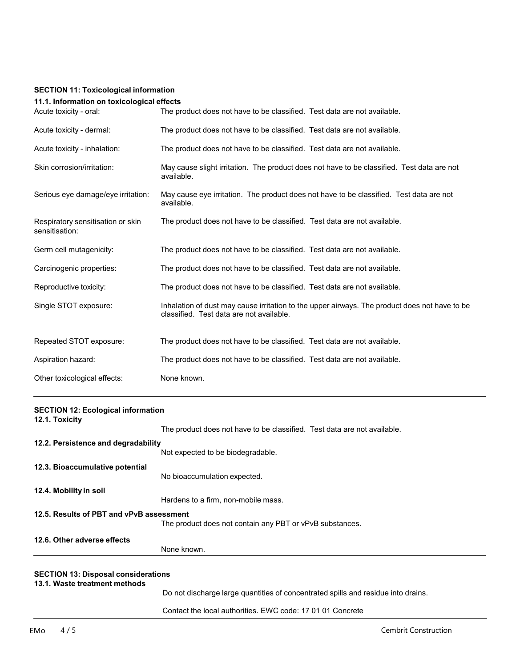#### **SECTION 11: Toxicological information**

## **11.1. Information on toxicological effects**

| Acute toxicity - oral:                              | The product does not have to be classified. Test data are not available.                                                                  |
|-----------------------------------------------------|-------------------------------------------------------------------------------------------------------------------------------------------|
| Acute toxicity - dermal:                            | The product does not have to be classified. Test data are not available.                                                                  |
| Acute toxicity - inhalation:                        | The product does not have to be classified. Test data are not available.                                                                  |
| Skin corrosion/irritation:                          | May cause slight irritation. The product does not have to be classified. Test data are not<br>available.                                  |
| Serious eye damage/eye irritation:                  | May cause eye irritation. The product does not have to be classified. Test data are not<br>available.                                     |
| Respiratory sensitisation or skin<br>sensitisation: | The product does not have to be classified. Test data are not available.                                                                  |
| Germ cell mutagenicity:                             | The product does not have to be classified. Test data are not available.                                                                  |
| Carcinogenic properties:                            | The product does not have to be classified. Test data are not available.                                                                  |
| Reproductive toxicity:                              | The product does not have to be classified. Test data are not available.                                                                  |
| Single STOT exposure:                               | Inhalation of dust may cause irritation to the upper airways. The product does not have to be<br>classified. Test data are not available. |
| Repeated STOT exposure:                             | The product does not have to be classified. Test data are not available.                                                                  |
| Aspiration hazard:                                  | The product does not have to be classified. Test data are not available.                                                                  |
| Other toxicological effects:                        | None known.                                                                                                                               |

| <b>SECTION 12: Ecological information</b><br>12.1. Toxicity |                                                                                   |
|-------------------------------------------------------------|-----------------------------------------------------------------------------------|
|                                                             | The product does not have to be classified. Test data are not available.          |
| 12.2. Persistence and degradability                         |                                                                                   |
|                                                             | Not expected to be biodegradable.                                                 |
| 12.3. Bioaccumulative potential                             |                                                                                   |
|                                                             | No bioaccumulation expected.                                                      |
| 12.4. Mobility in soil                                      |                                                                                   |
|                                                             | Hardens to a firm, non-mobile mass.                                               |
| 12.5. Results of PBT and vPvB assessment                    |                                                                                   |
|                                                             | The product does not contain any PBT or vPvB substances.                          |
| 12.6. Other adverse effects                                 |                                                                                   |
|                                                             | None known.                                                                       |
|                                                             |                                                                                   |
| <b>SECTION 13: Disposal considerations</b>                  |                                                                                   |
| 13.1. Waste treatment methods                               |                                                                                   |
|                                                             | Do not discharge large quantities of concentrated spills and residue into drains. |

Contact the local authorities. EWC code: 17 01 01 Concrete